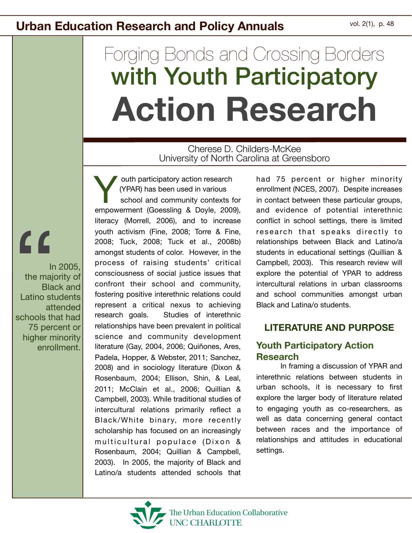# Forging Bonds and Crossing Borders with Youth Participatory **Action Research**

#### Cherese D. Childers-McKee University of North Carolina at Greensboro

 $\overline{\mathcal{L}}$ 

In 2005, the majority of Black and Latino students attended schools that had 75 percent or higher minority enrollment.

 outh participatory action research (YPAR) has been used in various school and community contexts for empowerment (Goessling & Doyle, 2009), literacy (Morrell, 2006), and to increase youth activism (Fine, 2008; Torre & Fine, 2008; Tuck, 2008; Tuck et al., 2008b) amongst students of color. However, in the process of raising students' critical consciousness of social justice issues that confront their school and community, fostering positive interethnic relations could represent a critical nexus to achieving research goals. Studies of interethnic relationships have been prevalent in political science and community development literature (Gay, 2004, 2006; Quiñones, Ares, Padela, Hopper, & Webster, 2011; Sanchez, 2008) and in sociology literature (Dixon & Rosenbaum, 2004; Ellison, Shin, & Leal, 2011; McClain et al., 2006; Quillian & Campbell, 2003). While traditional studies of intercultural relations primarily reflect a Black/White binary, more recently scholarship has focused on an increasingly multicultural populace (Dixon & Rosenbaum, 2004; Quillian & Campbell, 2003). In 2005, the majority of Black and Latino/a students attended schools that Y

had 75 percent or higher minority enrollment (NCES, 2007). Despite increases in contact between these particular groups, and evidence of potential interethnic conflict in school settings, there is limited research that speaks directly to relationships between Black and Latino/a students in educational settings (Quillian & Campbell, 2003). This research review will explore the potential of YPAR to address intercultural relations in urban classrooms and school communities amongst urban Black and Latina/o students.

#### **LITERATURE AND PURPOSE**

#### **Youth Participatory Action Research**

In framing a discussion of YPAR and interethnic relations between students in urban schools, it is necessary to first explore the larger body of literature related to engaging youth as co-researchers, as well as data concerning general contact between races and the importance of relationships and attitudes in educational settings.

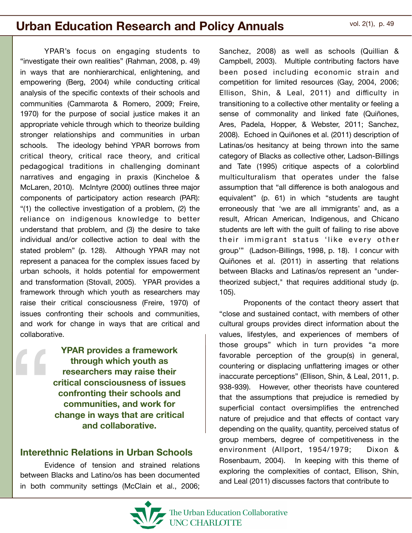YPAR's focus on engaging students to "investigate their own realities" (Rahman, 2008, p. 49) in ways that are nonhierarchical, enlightening, and empowering (Berg, 2004) while conducting critical analysis of the specific contexts of their schools and communities (Cammarota & Romero, 2009; Freire, 1970) for the purpose of social justice makes it an appropriate vehicle through which to theorize building stronger relationships and communities in urban schools. The ideology behind YPAR borrows from critical theory, critical race theory, and critical pedagogical traditions in challenging dominant narratives and engaging in praxis (Kincheloe & McLaren, 2010). McIntyre (2000) outlines three major components of participatory action research (PAR): "(1) the collective investigation of a problem, (2) the reliance on indigenous knowledge to better understand that problem, and (3) the desire to take individual and/or collective action to deal with the stated problem" (p. 128). Although YPAR may not represent a panacea for the complex issues faced by urban schools, it holds potential for empowerment and transformation (Stovall, 2005). YPAR provides a framework through which youth as researchers may raise their critical consciousness (Freire, 1970) of issues confronting their schools and communities, and work for change in ways that are critical and collaborative. "

**YPAR provides a framework through which youth as researchers may raise their critical consciousness of issues confronting their schools and communities, and work for change in ways that are critical and collaborative.** 

#### **Interethnic Relations in Urban Schools**

Evidence of tension and strained relations between Blacks and Latino/os has been documented in both community settings (McClain et al., 2006;

Sanchez, 2008) as well as schools (Quillian & Campbell, 2003). Multiple contributing factors have been posed including economic strain and competition for limited resources (Gay, 2004, 2006; Ellison, Shin, & Leal, 2011) and difficulty in transitioning to a collective other mentality or feeling a sense of commonality and linked fate (Quiñones, Ares, Padela, Hopper, & Webster, 2011; Sanchez, 2008). Echoed in Quiñones et al. (2011) description of Latinas/os hesitancy at being thrown into the same category of Blacks as collective other, Ladson-Billings and Tate (1995) critique aspects of a colorblind multiculturalism that operates under the false assumption that "all difference is both analogous and equivalent" (p. 61) in which "students are taught erroneously that 'we are all immigrants' and, as a result, African American, Indigenous, and Chicano students are left with the guilt of failing to rise above their immigrant status 'like every other group'" (Ladson-Billings, 1998, p. 18). I concur with Quiñones et al. (2011) in asserting that relations between Blacks and Latinas/os represent an "undertheorized subject," that requires additional study (p. 105).

Proponents of the contact theory assert that "close and sustained contact, with members of other cultural groups provides direct information about the values, lifestyles, and experiences of members of those groups" which in turn provides "a more favorable perception of the group(s) in general, countering or displacing unflattering images or other inaccurate perceptions" (Ellison, Shin, & Leal, 2011, p. 938-939). However, other theorists have countered that the assumptions that prejudice is remedied by superficial contact oversimplifies the entrenched nature of prejudice and that effects of contact vary depending on the quality, quantity, perceived status of group members, degree of competitiveness in the environment (Allport, 1954/1979; Dixon & Rosenbaum, 2004). In keeping with this theme of exploring the complexities of contact, Ellison, Shin, and Leal (2011) discusses factors that contribute to

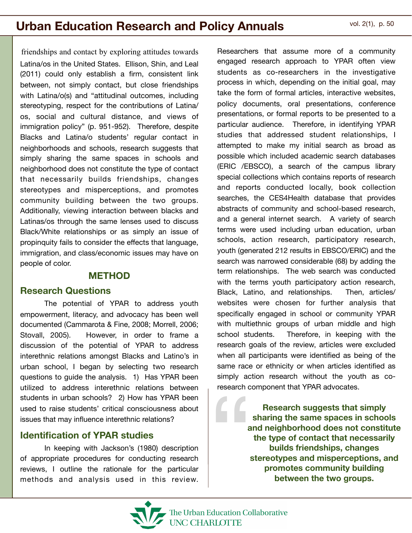friendships and contact by exploring attitudes towards Latina/os in the United States. Ellison, Shin, and Leal (2011) could only establish a firm, consistent link between, not simply contact, but close friendships with Latina/o(s) and "attitudinal outcomes, including stereotyping, respect for the contributions of Latina/ os, social and cultural distance, and views of immigration policy" (p. 951-952). Therefore, despite Blacks and Latina/o students' regular contact in neighborhoods and schools, research suggests that simply sharing the same spaces in schools and neighborhood does not constitute the type of contact that necessarily builds friendships, changes stereotypes and misperceptions, and promotes community building between the two groups. Additionally, viewing interaction between blacks and Latinas/os through the same lenses used to discuss Black/White relationships or as simply an issue of propinquity fails to consider the effects that language, immigration, and class/economic issues may have on people of color.

#### **METHOD**

#### **Research Questions**

The potential of YPAR to address youth empowerment, literacy, and advocacy has been well documented (Cammarota & Fine, 2008; Morrell, 2006; Stovall, 2005). However, in order to frame a discussion of the potential of YPAR to address interethnic relations amongst Blacks and Latino's in urban school, I began by selecting two research questions to guide the analysis. 1) Has YPAR been utilized to address interethnic relations between students in urban schools? 2) How has YPAR been used to raise students' critical consciousness about issues that may influence interethnic relations?

#### **Identification of YPAR studies**

In keeping with Jackson's (1980) description of appropriate procedures for conducting research reviews, I outline the rationale for the particular methods and analysis used in this review.

Researchers that assume more of a community engaged research approach to YPAR often view students as co-researchers in the investigative process in which, depending on the initial goal, may take the form of formal articles, interactive websites, policy documents, oral presentations, conference presentations, or formal reports to be presented to a particular audience. Therefore, in identifying YPAR studies that addressed student relationships, I attempted to make my initial search as broad as possible which included academic search databases (ERIC /EBSCO), a search of the campus library special collections which contains reports of research and reports conducted locally, book collection searches, the CES4Health database that provides abstracts of community and school-based research, and a general internet search. A variety of search terms were used including urban education, urban schools, action research, participatory research, youth (generated 212 results in EBSCO/ERIC) and the search was narrowed considerable (68) by adding the term relationships. The web search was conducted with the terms youth participatory action research, Black, Latino, and relationships. Then, articles/ websites were chosen for further analysis that specifically engaged in school or community YPAR with multiethnic groups of urban middle and high school students. Therefore, in keeping with the research goals of the review, articles were excluded when all participants were identified as being of the same race or ethnicity or when articles identified as simply action research without the youth as coresearch component that YPAR advocates.

research c<br>a<br>a<br>s **Research suggests that simply sharing the same spaces in schools and neighborhood does not constitute the type of contact that necessarily builds friendships, changes stereotypes and misperceptions, and promotes community building between the two groups.**

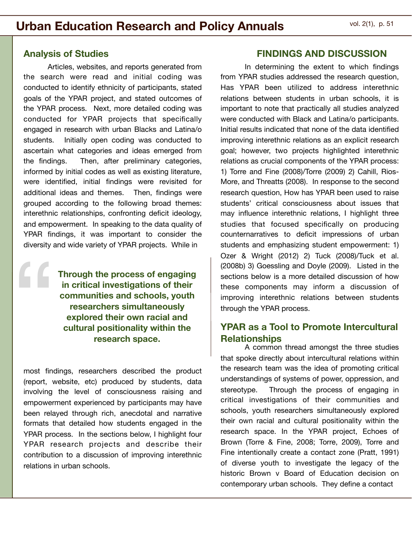#### **Analysis of Studies**

"

Articles, websites, and reports generated from the search were read and initial coding was conducted to identify ethnicity of participants, stated goals of the YPAR project, and stated outcomes of the YPAR process. Next, more detailed coding was conducted for YPAR projects that specifically engaged in research with urban Blacks and Latina/o students. Initially open coding was conducted to ascertain what categories and ideas emerged from the findings. Then, after preliminary categories, informed by initial codes as well as existing literature, were identified, initial findings were revisited for additional ideas and themes. Then, findings were grouped according to the following broad themes: interethnic relationships, confronting deficit ideology, and empowerment. In speaking to the data quality of YPAR findings, it was important to consider the diversity and wide variety of YPAR projects. While in

> **Through the process of engaging in critical investigations of their communities and schools, youth researchers simultaneously explored their own racial and cultural positionality within the research space.**

most findings, researchers described the product (report, website, etc) produced by students, data involving the level of consciousness raising and empowerment experienced by participants may have been relayed through rich, anecdotal and narrative formats that detailed how students engaged in the YPAR process. In the sections below, I highlight four YPAR research projects and describe their contribution to a discussion of improving interethnic relations in urban schools.

#### **FINDINGS AND DISCUSSION**

In determining the extent to which findings from YPAR studies addressed the research question, Has YPAR been utilized to address interethnic relations between students in urban schools, it is important to note that practically all studies analyzed were conducted with Black and Latina/o participants. Initial results indicated that none of the data identified improving interethnic relations as an explicit research goal; however, two projects highlighted interethnic relations as crucial components of the YPAR process: 1) Torre and Fine (2008)/Torre (2009) 2) Cahill, Rios-More, and Threatts (2008). In response to the second research question, How has YPAR been used to raise students' critical consciousness about issues that may influence interethnic relations, I highlight three studies that focused specifically on producing counternarratives to deficit impressions of urban students and emphasizing student empowerment: 1) Ozer & Wright (2012) 2) Tuck (2008)/Tuck et al. (2008b) 3) Goessling and Doyle (2009). Listed in the sections below is a more detailed discussion of how these components may inform a discussion of improving interethnic relations between students through the YPAR process.

#### **YPAR as a Tool to Promote Intercultural Relationships**

A common thread amongst the three studies that spoke directly about intercultural relations within the research team was the idea of promoting critical understandings of systems of power, oppression, and stereotype. Through the process of engaging in critical investigations of their communities and schools, youth researchers simultaneously explored their own racial and cultural positionality within the research space. In the YPAR project, Echoes of Brown (Torre & Fine, 2008; Torre, 2009), Torre and Fine intentionally create a contact zone (Pratt, 1991) of diverse youth to investigate the legacy of the historic Brown v Board of Education decision on contemporary urban schools. They define a contact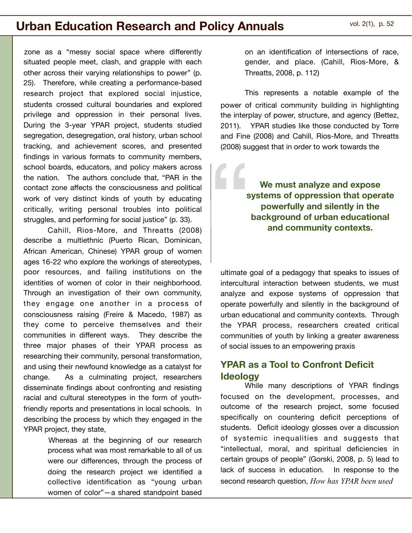zone as a "messy social space where differently situated people meet, clash, and grapple with each other across their varying relationships to power" (p. 25). Therefore, while creating a performance-based research project that explored social injustice, students crossed cultural boundaries and explored privilege and oppression in their personal lives. During the 3-year YPAR project, students studied segregation, desegregation, oral history, urban school tracking, and achievement scores, and presented findings in various formats to community members, school boards, educators, and policy makers across the nation. The authors conclude that, "PAR in the contact zone affects the consciousness and political work of very distinct kinds of youth by educating critically, writing personal troubles into political struggles, and performing for social justice" (p. 33).

Cahill, Rios-More, and Threatts (2008) describe a multiethnic (Puerto Rican, Dominican, African American, Chinese) YPAR group of women ages 16-22 who explore the workings of stereotypes, poor resources, and failing institutions on the identities of women of color in their neighborhood. Through an investigation of their own community, they engage one another in a process of consciousness raising (Freire & Macedo, 1987) as they come to perceive themselves and their communities in different ways. They describe the three major phases of their YPAR process as researching their community, personal transformation, and using their newfound knowledge as a catalyst for change. As a culminating project, researchers disseminate findings about confronting and resisting racial and cultural stereotypes in the form of youthfriendly reports and presentations in local schools. In describing the process by which they engaged in the YPAR project, they state,

> Whereas at the beginning of our research process what was most remarkable to all of us were our differences, through the process of doing the research project we identified a collective identification as "young urban women of color"—a shared standpoint based

on an identification of intersections of race, gender, and place. (Cahill, Rios-More, & Threatts, 2008, p. 112)

This represents a notable example of the power of critical community building in highlighting the interplay of power, structure, and agency (Bettez, 2011). YPAR studies like those conducted by Torre and Fine (2008) and Cahill, Rios-More, and Threatts (2008) suggest that in order to work towards the

**We must analyze and expose systems of oppression that operate powerfully and silently in the background of urban educational**  <u>"</u> **and community contexts.** 

ultimate goal of a pedagogy that speaks to issues of intercultural interaction between students, we must analyze and expose systems of oppression that operate powerfully and silently in the background of urban educational and community contexts. Through the YPAR process, researchers created critical communities of youth by linking a greater awareness of social issues to an empowering praxis

#### **YPAR as a Tool to Confront Deficit Ideology**

While many descriptions of YPAR findings focused on the development, processes, and outcome of the research project, some focused specifically on countering deficit perceptions of students. Deficit ideology glosses over a discussion of systemic inequalities and suggests that "intellectual, moral, and spiritual deficiencies in certain groups of people" (Gorski, 2008, p. 5) lead to lack of success in education. In response to the second research question, *How has YPAR been used*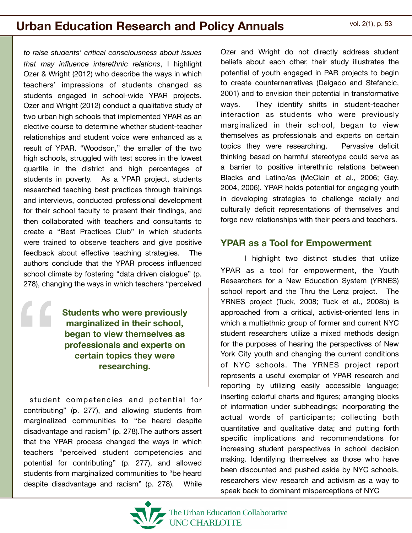*to raise students' critical consciousness about issues that may influence interethnic relations*, I highlight Ozer & Wright (2012) who describe the ways in which teachers' impressions of students changed as students engaged in school-wide YPAR projects. Ozer and Wright (2012) conduct a qualitative study of two urban high schools that implemented YPAR as an elective course to determine whether student-teacher relationships and student voice were enhanced as a result of YPAR. "Woodson," the smaller of the two high schools, struggled with test scores in the lowest quartile in the district and high percentages of students in poverty. As a YPAR project, students researched teaching best practices through trainings and interviews, conducted professional development for their school faculty to present their findings, and then collaborated with teachers and consultants to create a "Best Practices Club" in which students were trained to observe teachers and give positive feedback about effective teaching strategies. The authors conclude that the YPAR process influenced school climate by fostering "data driven dialogue" (p. 278), changing the ways in which teachers "perceived

> **Students who were previously marginalized in their school, began to view themselves as professionals and experts on certain topics they were researching.**

"

 student competencies and potential for contributing" (p. 277), and allowing students from marginalized communities to "be heard despite disadvantage and racism" (p. 278).The authors assert that the YPAR process changed the ways in which teachers "perceived student competencies and potential for contributing" (p. 277), and allowed students from marginalized communities to "be heard despite disadvantage and racism" (p. 278). While



#### **YPAR as a Tool for Empowerment**

I highlight two distinct studies that utilize YPAR as a tool for empowerment, the Youth Researchers for a New Education System (YRNES) school report and the Thru the Lenz project. The YRNES project (Tuck, 2008; Tuck et al., 2008b) is approached from a critical, activist-oriented lens in which a multiethnic group of former and current NYC student researchers utilize a mixed methods design for the purposes of hearing the perspectives of New York City youth and changing the current conditions of NYC schools. The YRNES project report represents a useful exemplar of YPAR research and reporting by utilizing easily accessible language; inserting colorful charts and figures; arranging blocks of information under subheadings; incorporating the actual words of participants; collecting both quantitative and qualitative data; and putting forth specific implications and recommendations for increasing student perspectives in school decision making. Identifying themselves as those who have been discounted and pushed aside by NYC schools, researchers view research and activism as a way to speak back to dominant misperceptions of NYC

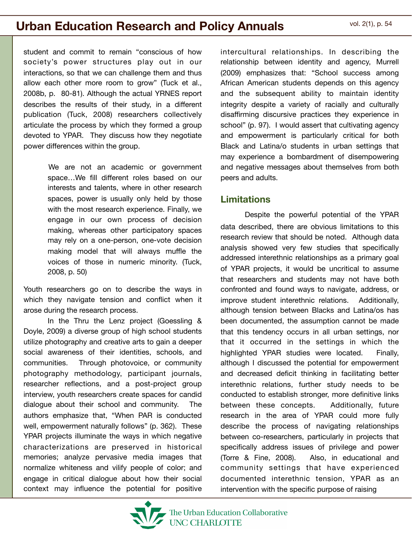student and commit to remain "conscious of how society's power structures play out in our interactions, so that we can challenge them and thus allow each other more room to grow" (Tuck et al., 2008b, p. 80-81). Although the actual YRNES report describes the results of their study, in a different publication (Tuck, 2008) researchers collectively articulate the process by which they formed a group devoted to YPAR. They discuss how they negotiate power differences within the group.

> We are not an academic or government space…We fill different roles based on our interests and talents, where in other research spaces, power is usually only held by those with the most research experience. Finally, we engage in our own process of decision making, whereas other participatory spaces may rely on a one-person, one-vote decision making model that will always muffle the voices of those in numeric minority. (Tuck, 2008, p. 50)

Youth researchers go on to describe the ways in which they navigate tension and conflict when it arose during the research process.

In the Thru the Lenz project (Goessling & Doyle, 2009) a diverse group of high school students utilize photography and creative arts to gain a deeper social awareness of their identities, schools, and communities. Through photovoice, or community photography methodology, participant journals, researcher reflections, and a post-project group interview, youth researchers create spaces for candid dialogue about their school and community. The authors emphasize that, "When PAR is conducted well, empowerment naturally follows" (p. 362). These YPAR projects illuminate the ways in which negative characterizations are preserved in historical memories; analyze pervasive media images that normalize whiteness and vilify people of color; and engage in critical dialogue about how their social context may influence the potential for positive

intercultural relationships. In describing the relationship between identity and agency, Murrell (2009) emphasizes that: "School success among African American students depends on this agency and the subsequent ability to maintain identity integrity despite a variety of racially and culturally disaffirming discursive practices they experience in school" (p. 97). I would assert that cultivating agency and empowerment is particularly critical for both Black and Latina/o students in urban settings that may experience a bombardment of disempowering and negative messages about themselves from both peers and adults.

#### **Limitations**

Despite the powerful potential of the YPAR data described, there are obvious limitations to this research review that should be noted. Although data analysis showed very few studies that specifically addressed interethnic relationships as a primary goal of YPAR projects, it would be uncritical to assume that researchers and students may not have both confronted and found ways to navigate, address, or improve student interethnic relations. Additionally, although tension between Blacks and Latina/os has been documented, the assumption cannot be made that this tendency occurs in all urban settings, nor that it occurred in the settings in which the highlighted YPAR studies were located. Finally, although I discussed the potential for empowerment and decreased deficit thinking in facilitating better interethnic relations, further study needs to be conducted to establish stronger, more definitive links between these concepts. Additionally, future research in the area of YPAR could more fully describe the process of navigating relationships between co-researchers, particularly in projects that specifically address issues of privilege and power (Torre & Fine, 2008). Also, in educational and community settings that have experienced documented interethnic tension, YPAR as an intervention with the specific purpose of raising

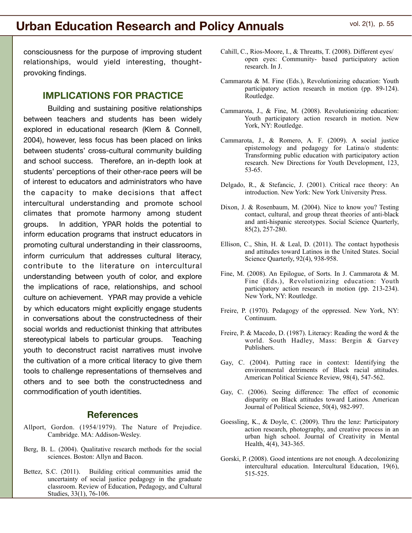consciousness for the purpose of improving student relationships, would yield interesting, thoughtprovoking findings.

#### **IMPLICATIONS FOR PRACTICE**

Building and sustaining positive relationships between teachers and students has been widely explored in educational research (Klem & Connell, 2004), however, less focus has been placed on links between students' cross-cultural community building and school success. Therefore, an in-depth look at students' perceptions of their other-race peers will be of interest to educators and administrators who have the capacity to make decisions that affect intercultural understanding and promote school climates that promote harmony among student groups. In addition, YPAR holds the potential to inform education programs that instruct educators in promoting cultural understanding in their classrooms, inform curriculum that addresses cultural literacy, contribute to the literature on intercultural understanding between youth of color, and explore the implications of race, relationships, and school culture on achievement. YPAR may provide a vehicle by which educators might explicitly engage students in conversations about the constructedness of their social worlds and reductionist thinking that attributes stereotypical labels to particular groups. Teaching youth to deconstruct racist narratives must involve the cultivation of a more critical literacy to give them tools to challenge representations of themselves and others and to see both the constructedness and commodification of youth identities.

#### **References**

- Allport, Gordon. (1954/1979). The Nature of Prejudice. Cambridge. MA: Addison-Wesley.
- Berg, B. L. (2004). Qualitative research methods for the social sciences. Boston: Allyn and Bacon.
- Bettez, S.C. (2011). Building critical communities amid the uncertainty of social justice pedagogy in the graduate classroom. Review of Education, Pedagogy, and Cultural Studies, 33(1), 76-106.
- Cahill, C., Rios-Moore, I., & Threatts, T. (2008). Different eyes/ open eyes: Community- based participatory action research. In J.
- Cammarota & M. Fine (Eds.), Revolutionizing education: Youth participatory action research in motion (pp. 89-124). Routledge.
- Cammarota, J., & Fine, M. (2008). Revolutionizing education: Youth participatory action research in motion. New York, NY: Routledge.
- Cammarota, J., & Romero, A. F. (2009). A social justice epistemology and pedagogy for Latina/o students: Transforming public education with participatory action research. New Directions for Youth Development, 123, 53-65.
- Delgado, R., & Stefancic, J. (2001). Critical race theory: An introduction. New York: New York University Press.
- Dixon, J. & Rosenbaum, M. (2004). Nice to know you? Testing contact, cultural, and group threat theories of anti-black and anti-hispanic stereotypes. Social Science Quarterly, 85(2), 257-280.
- Ellison, C., Shin, H. & Leal, D. (2011). The contact hypothesis and attitudes toward Latinos in the United States. Social Science Quarterly, 92(4), 938-958.
- Fine, M. (2008). An Epilogue, of Sorts. In J. Cammarota & M. Fine (Eds.), Revolutionizing education: Youth participatory action research in motion (pp. 213-234). New York, NY: Routledge.
- Freire, P. (1970). Pedagogy of the oppressed. New York, NY: Continuum.
- Freire, P. & Macedo, D. (1987). Literacy: Reading the word & the world. South Hadley, Mass: Bergin & Garvey Publishers.
- Gay, C. (2004). Putting race in context: Identifying the environmental detriments of Black racial attitudes. American Political Science Review, 98(4), 547-562.
- Gay, C. (2006). Seeing difference: The effect of economic disparity on Black attitudes toward Latinos. American Journal of Political Science, 50(4), 982-997.
- Goessling, K., & Doyle, C. (2009). Thru the lenz: Participatory action research, photography, and creative process in an urban high school. Journal of Creativity in Mental Health, 4(4), 343-365.
- Gorski, P. (2008). Good intentions are not enough. A decolonizing intercultural education. Intercultural Education, 19(6), 515-525.